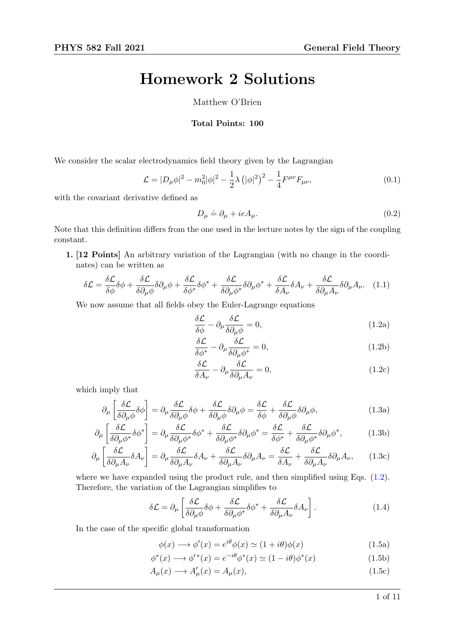## Homework 2 Solutions

Matthew O'Brien

## Total Points: 100

We consider the scalar electrodynamics field theory given by the Lagrangian

<span id="page-0-2"></span>
$$
\mathcal{L} = |D_{\mu}\phi|^2 - m_0^2 |\phi|^2 - \frac{1}{2}\lambda \left(|\phi|^2\right)^2 - \frac{1}{4}F^{\mu\nu}F_{\mu\nu},\tag{0.1}
$$

with the covariant derivative defined as

$$
D_{\mu} \doteq \partial_{\mu} + ieA_{\mu}.\tag{0.2}
$$

Note that this definition differs from the one used in the lecture notes by the sign of the coupling constant.

1. [12 Points] An arbitrary variation of the Lagrangian (with no change in the coordinates) can be written as

$$
\delta \mathcal{L} = \frac{\delta \mathcal{L}}{\delta \phi} \delta \phi + \frac{\delta \mathcal{L}}{\delta \partial_{\mu} \phi} \delta \partial_{\mu} \phi + \frac{\delta \mathcal{L}}{\delta \phi^*} \delta \phi^* + \frac{\delta \mathcal{L}}{\delta \partial_{\mu} \phi^*} \delta \partial_{\mu} \phi^* + \frac{\delta \mathcal{L}}{\delta A_{\nu}} \delta A_{\nu} + \frac{\delta \mathcal{L}}{\delta \partial_{\mu} A_{\nu}} \delta \partial_{\mu} A_{\nu}.
$$
 (1.1)

We now assume that all fields obey the Euler-Lagrange equations

<span id="page-0-0"></span>
$$
\frac{\delta \mathcal{L}}{\delta \phi} - \partial_{\mu} \frac{\delta \mathcal{L}}{\delta \partial_{\mu} \phi} = 0, \qquad (1.2a)
$$

$$
\frac{\delta \mathcal{L}}{\delta \phi^*} - \partial_\mu \frac{\delta \mathcal{L}}{\delta \partial_\mu \phi^*} = 0, \tag{1.2b}
$$

$$
\frac{\delta \mathcal{L}}{\delta A_{\nu}} - \partial_{\mu} \frac{\delta \mathcal{L}}{\delta \partial_{\mu} A_{\nu}} = 0, \qquad (1.2c)
$$

which imply that

$$
\partial_{\mu} \left[ \frac{\delta \mathcal{L}}{\delta \partial_{\mu} \phi} \delta \phi \right] = \partial_{\mu} \frac{\delta \mathcal{L}}{\delta \partial_{\mu} \phi} \delta \phi + \frac{\delta \mathcal{L}}{\delta \partial_{\mu} \phi} \delta \partial_{\mu} \phi = \frac{\delta \mathcal{L}}{\delta \phi} + \frac{\delta \mathcal{L}}{\delta \partial_{\mu} \phi} \delta \partial_{\mu} \phi, \tag{1.3a}
$$

$$
\partial_{\mu} \left[ \frac{\delta \mathcal{L}}{\delta \partial_{\mu} \phi^*} \delta \phi^* \right] = \partial_{\mu} \frac{\delta \mathcal{L}}{\delta \partial_{\mu} \phi^*} \delta \phi^* + \frac{\delta \mathcal{L}}{\delta \partial_{\mu} \phi^*} \delta \partial_{\mu} \phi^* = \frac{\delta \mathcal{L}}{\delta \phi^*} + \frac{\delta \mathcal{L}}{\delta \partial_{\mu} \phi^*} \delta \partial_{\mu} \phi^*, \tag{1.3b}
$$

$$
\partial_{\mu} \left[ \frac{\delta \mathcal{L}}{\delta \partial_{\mu} A_{\nu}} \delta A_{\nu} \right] = \partial_{\mu} \frac{\delta \mathcal{L}}{\delta \partial_{\mu} A_{\nu}} \delta A_{\nu} + \frac{\delta \mathcal{L}}{\delta \partial_{\mu} A_{\nu}} \delta \partial_{\mu} A_{\nu} = \frac{\delta \mathcal{L}}{\delta A_{\nu}} + \frac{\delta \mathcal{L}}{\delta \partial_{\mu} A_{\nu}} \delta \partial_{\mu} A_{\nu}, \tag{1.3c}
$$

where we have expanded using the product rule, and then simplified using Eqs.  $(1.2)$ . Therefore, the variation of the Lagrangian simplifies to

<span id="page-0-1"></span>
$$
\delta \mathcal{L} = \partial_{\mu} \left[ \frac{\delta \mathcal{L}}{\delta \partial_{\mu} \phi} \delta \phi + \frac{\delta \mathcal{L}}{\delta \partial_{\mu} \phi^*} \delta \phi^* + \frac{\delta \mathcal{L}}{\delta \partial_{\mu} A_{\nu}} \delta A_{\nu} \right]. \tag{1.4}
$$

In the case of the specific global transformation

$$
\phi(x) \longrightarrow \phi'(x) = e^{i\theta} \phi(x) \simeq (1 + i\theta)\phi(x) \tag{1.5a}
$$

$$
\phi^*(x) \longrightarrow \phi'^*(x) = e^{-i\theta} \phi^*(x) \simeq (1 - i\theta)\phi^*(x) \tag{1.5b}
$$

$$
A_{\mu}(x) \longrightarrow A'_{\mu}(x) = A_{\mu}(x), \tag{1.5c}
$$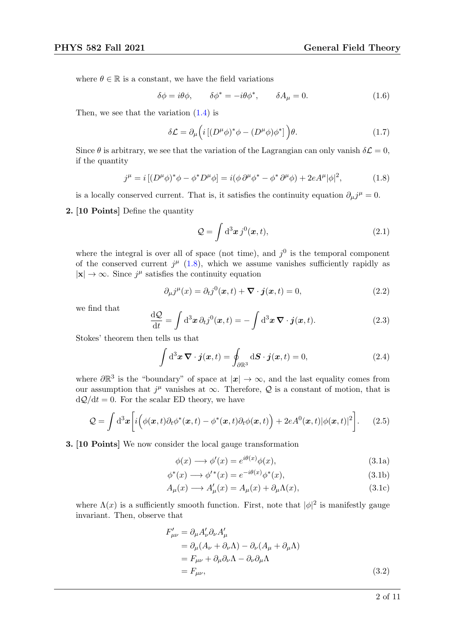where  $\theta \in \mathbb{R}$  is a constant, we have the field variations

$$
\delta\phi = i\theta\phi, \qquad \delta\phi^* = -i\theta\phi^*, \qquad \delta A_\mu = 0. \tag{1.6}
$$

Then, we see that the variation [\(1.4\)](#page-0-1) is

$$
\delta \mathcal{L} = \partial_{\mu} \left( i \left[ (D^{\mu} \phi)^{*} \phi - (D^{\mu} \phi) \phi^{*} \right] \right) \theta. \tag{1.7}
$$

Since  $\theta$  is arbitrary, we see that the variation of the Lagrangian can only vanish  $\delta \mathcal{L} = 0$ , if the quantity

<span id="page-1-0"></span>
$$
j^{\mu} = i [(D^{\mu} \phi)^{*} \phi - \phi^{*} D^{\mu} \phi] = i (\phi \partial^{\mu} \phi^{*} - \phi^{*} \partial^{\mu} \phi) + 2e A^{\mu} |\phi|^{2}, \qquad (1.8)
$$

is a locally conserved current. That is, it satisfies the continuity equation  $\partial_{\mu}j^{\mu} = 0$ .

2. [10 Points] Define the quantity

$$
\mathcal{Q} = \int d^3x \, j^0(x, t), \tag{2.1}
$$

where the integral is over all of space (not time), and  $j^0$  is the temporal component of the conserved current  $j^{\mu}$  [\(1.8\)](#page-1-0), which we assume vanishes sufficiently rapidly as  $|\mathbf{x}| \to \infty$ . Since  $j^{\mu}$  satisfies the continuity equation

$$
\partial_{\mu}j^{\mu}(x) = \partial_{t}j^{0}(\boldsymbol{x},t) + \boldsymbol{\nabla} \cdot \boldsymbol{j}(\boldsymbol{x},t) = 0, \qquad (2.2)
$$

we find that

$$
\frac{\mathrm{d}Q}{\mathrm{d}t} = \int \mathrm{d}^3 x \, \partial_t j^0(\boldsymbol{x}, t) = -\int \mathrm{d}^3 x \, \boldsymbol{\nabla} \cdot \boldsymbol{j}(\boldsymbol{x}, t). \tag{2.3}
$$

Stokes' theorem then tells us that

$$
\int d^3x \, \nabla \cdot \boldsymbol{j}(\boldsymbol{x},t) = \oint_{\partial \mathbb{R}^3} d\boldsymbol{S} \cdot \boldsymbol{j}(\boldsymbol{x},t) = 0,
$$
\n(2.4)

where  $\partial \mathbb{R}^3$  is the "boundary" of space at  $|\mathbf{x}| \to \infty$ , and the last equality comes from our assumption that  $j^{\mu}$  vanishes at  $\infty$ . Therefore, Q is a constant of motion, that is  $dQ/dt = 0$ . For the scalar ED theory, we have

<span id="page-1-1"></span>
$$
\mathcal{Q} = \int d^3x \bigg[ i \bigg( \phi(\mathbf{x},t) \partial_t \phi^*(\mathbf{x},t) - \phi^*(\mathbf{x},t) \partial_t \phi(\mathbf{x},t) \bigg) + 2e A^0(\mathbf{x},t) |\phi(\mathbf{x},t)|^2 \bigg]. \tag{2.5}
$$

## 3. [10 Points] We now consider the local gauge transformation

$$
\phi(x) \longrightarrow \phi'(x) = e^{i\theta(x)}\phi(x),\tag{3.1a}
$$

$$
\phi^*(x) \longrightarrow \phi'^*(x) = e^{-i\theta(x)}\phi^*(x),\tag{3.1b}
$$

$$
A_{\mu}(x) \longrightarrow A'_{\mu}(x) = A_{\mu}(x) + \partial_{\mu}\Lambda(x), \tag{3.1c}
$$

where  $\Lambda(x)$  is a sufficiently smooth function. First, note that  $|\phi|^2$  is manifestly gauge invariant. Then, observe that

$$
F'_{\mu\nu} = \partial_{\mu} A'_{\nu} \partial_{\nu} A'_{\mu}
$$
  
=  $\partial_{\mu} (A_{\nu} + \partial_{\nu} \Lambda) - \partial_{\nu} (A_{\mu} + \partial_{\mu} \Lambda)$   
=  $F_{\mu\nu} + \partial_{\mu} \partial_{\nu} \Lambda - \partial_{\nu} \partial_{\mu} \Lambda$   
=  $F_{\mu\nu}$ , (3.2)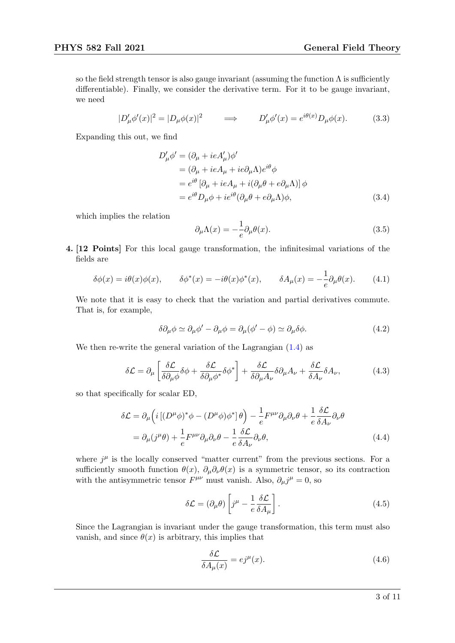so the field strength tensor is also gauge invariant (assuming the function  $\Lambda$  is sufficiently differentiable). Finally, we consider the derivative term. For it to be gauge invariant, we need

$$
|D'_{\mu}\phi'(x)|^2 = |D_{\mu}\phi(x)|^2 \qquad \Longrightarrow \qquad D'_{\mu}\phi'(x) = e^{i\theta(x)}D_{\mu}\phi(x). \tag{3.3}
$$

Expanding this out, we find

$$
D'_{\mu}\phi' = (\partial_{\mu} + ieA'_{\mu})\phi'
$$
  
=  $(\partial_{\mu} + ieA_{\mu} + ie\partial_{\mu}\Lambda)e^{i\theta}\phi$   
=  $e^{i\theta} [\partial_{\mu} + ieA_{\mu} + i(\partial_{\mu}\theta + e\partial_{\mu}\Lambda)]\phi$   
=  $e^{i\theta}D_{\mu}\phi + ie^{i\theta}(\partial_{\mu}\theta + e\partial_{\mu}\Lambda)\phi,$  (3.4)

which implies the relation

$$
\partial_{\mu}\Lambda(x) = -\frac{1}{e}\partial_{\mu}\theta(x). \tag{3.5}
$$

4. [12 Points] For this local gauge transformation, the infinitesimal variations of the fields are

$$
\delta\phi(x) = i\theta(x)\phi(x), \qquad \delta\phi^*(x) = -i\theta(x)\phi^*(x), \qquad \delta A_\mu(x) = -\frac{1}{e}\partial_\mu\theta(x). \tag{4.1}
$$

We note that it is easy to check that the variation and partial derivatives commute. That is, for example,

$$
\delta \partial_{\mu} \phi \simeq \partial_{\mu} \phi' - \partial_{\mu} \phi = \partial_{\mu} (\phi' - \phi) \simeq \partial_{\mu} \delta \phi.
$$
 (4.2)

We then re-write the general variation of the Lagrangian  $(1.4)$  as

$$
\delta \mathcal{L} = \partial_{\mu} \left[ \frac{\delta \mathcal{L}}{\delta \partial_{\mu} \phi} \delta \phi + \frac{\delta \mathcal{L}}{\delta \partial_{\mu} \phi^*} \delta \phi^* \right] + \frac{\delta \mathcal{L}}{\delta \partial_{\mu} A_{\nu}} \delta \partial_{\mu} A_{\nu} + \frac{\delta \mathcal{L}}{\delta A_{\nu}} \delta A_{\nu}, \tag{4.3}
$$

so that specifically for scalar ED,

$$
\delta \mathcal{L} = \partial_{\mu} \Big( i \left[ (D^{\mu} \phi)^{*} \phi - (D^{\mu} \phi) \phi^{*} \right] \theta \Big) - \frac{1}{e} F^{\mu \nu} \partial_{\mu} \partial_{\nu} \theta + \frac{1}{e} \frac{\delta \mathcal{L}}{\delta A_{\nu}} \partial_{\nu} \theta
$$

$$
= \partial_{\mu} (j^{\mu} \theta) + \frac{1}{e} F^{\mu \nu} \partial_{\mu} \partial_{\nu} \theta - \frac{1}{e} \frac{\delta \mathcal{L}}{\delta A_{\nu}} \partial_{\nu} \theta,
$$
(4.4)

where  $j^{\mu}$  is the locally conserved "matter current" from the previous sections. For a sufficiently smooth function  $\theta(x)$ ,  $\partial_{\mu}\partial_{\nu}\theta(x)$  is a symmetric tensor, so its contraction with the antisymmetric tensor  $F^{\mu\nu}$  must vanish. Also,  $\partial_{\mu}j^{\mu} = 0$ , so

$$
\delta \mathcal{L} = (\partial_{\mu} \theta) \left[ j^{\mu} - \frac{1}{e} \frac{\delta \mathcal{L}}{\delta A_{\mu}} \right]. \tag{4.5}
$$

Since the Lagrangian is invariant under the gauge transformation, this term must also vanish, and since  $\theta(x)$  is arbitrary, this implies that

$$
\frac{\delta \mathcal{L}}{\delta A_{\mu}(x)} = ej^{\mu}(x). \tag{4.6}
$$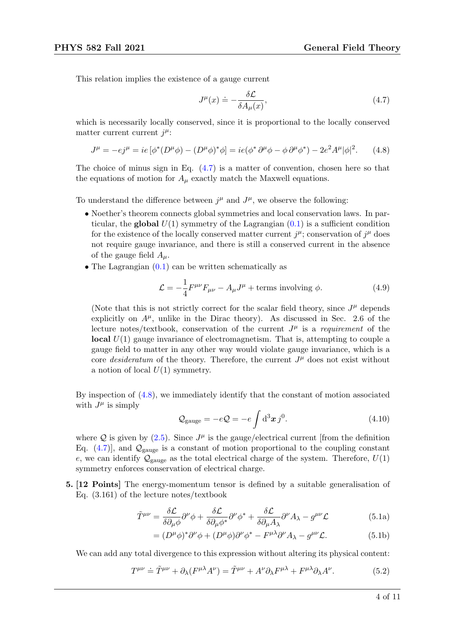This relation implies the existence of a gauge current

<span id="page-3-0"></span>
$$
J^{\mu}(x) \doteq -\frac{\delta \mathcal{L}}{\delta A_{\mu}(x)},\tag{4.7}
$$

which is necessarily locally conserved, since it is proportional to the locally conserved matter current current  $j^{\mu}$ :

<span id="page-3-1"></span>
$$
J^{\mu} = -ej^{\mu} = ie \left[ \phi^*(D^{\mu}\phi) - (D^{\mu}\phi)^* \phi \right] = ie(\phi^* \partial^{\mu}\phi - \phi \partial^{\mu}\phi^*) - 2e^2 A^{\mu} |\phi|^2. \tag{4.8}
$$

The choice of minus sign in Eq. [\(4.7\)](#page-3-0) is a matter of convention, chosen here so that the equations of motion for  $A_\mu$  exactly match the Maxwell equations.

To understand the difference between  $j^{\mu}$  and  $J^{\mu}$ , we observe the following:

- Noether's theorem connects global symmetries and local conservation laws. In particular, the global  $U(1)$  symmetry of the Lagrangian  $(0.1)$  is a sufficient condition for the existence of the locally conserved matter current  $j^{\mu}$ ; conservation of  $j^{\mu}$  does not require gauge invariance, and there is still a conserved current in the absence of the gauge field  $A_\mu$ .
- The Lagrangian  $(0.1)$  can be written schematically as

$$
\mathcal{L} = -\frac{1}{4}F^{\mu\nu}F_{\mu\nu} - A_{\mu}J^{\mu} + \text{terms involving }\phi.
$$
 (4.9)

(Note that this is not strictly correct for the scalar field theory, since  $J^{\mu}$  depends explicitly on  $A^{\mu}$ , unlike in the Dirac theory). As discussed in Sec. 2.6 of the lecture notes/textbook, conservation of the current  $J^{\mu}$  is a requirement of the **local**  $U(1)$  gauge invariance of electromagnetism. That is, attempting to couple a gauge field to matter in any other way would violate gauge invariance, which is a core *desideratum* of the theory. Therefore, the current  $J^{\mu}$  does not exist without a notion of local  $U(1)$  symmetry.

By inspection of [\(4.8\)](#page-3-1), we immediately identify that the constant of motion associated with  $J^{\mu}$  is simply

$$
Q_{\text{gauge}} = -eQ = -e \int d^3x \, j^0. \tag{4.10}
$$

where Q is given by  $(2.5)$ . Since  $J^{\mu}$  is the gauge/electrical current [from the definition Eq.  $(4.7)$ , and  $\mathcal{Q}_{\text{gauge}}$  is a constant of motion proportional to the coupling constant e, we can identify  $\mathcal{Q}_{\text{gauge}}$  as the total electrical charge of the system. Therefore,  $U(1)$ symmetry enforces conservation of electrical charge.

5. [12 Points] The energy-momentum tensor is defined by a suitable generalisation of Eq. (3.161) of the lecture notes/textbook

$$
\tilde{T}^{\mu\nu} = \frac{\delta \mathcal{L}}{\delta \partial_{\mu} \phi} \partial^{\nu} \phi + \frac{\delta \mathcal{L}}{\delta \partial_{\mu} \phi^*} \partial^{\nu} \phi^* + \frac{\delta \mathcal{L}}{\delta \partial_{\mu} A_{\lambda}} \partial^{\nu} A_{\lambda} - g^{\mu\nu} \mathcal{L}
$$
(5.1a)

<span id="page-3-2"></span>
$$
= (D^{\mu}\phi)^{*}\partial^{\nu}\phi + (D^{\mu}\phi)\partial^{\nu}\phi^{*} - F^{\mu\lambda}\partial^{\nu}A_{\lambda} - g^{\mu\nu}\mathcal{L}.
$$
 (5.1b)

We can add any total divergence to this expression without altering its physical content:

$$
T^{\mu\nu} \doteq \tilde{T}^{\mu\nu} + \partial_{\lambda}(F^{\mu\lambda}A^{\nu}) = \tilde{T}^{\mu\nu} + A^{\nu}\partial_{\lambda}F^{\mu\lambda} + F^{\mu\lambda}\partial_{\lambda}A^{\nu}.
$$
 (5.2)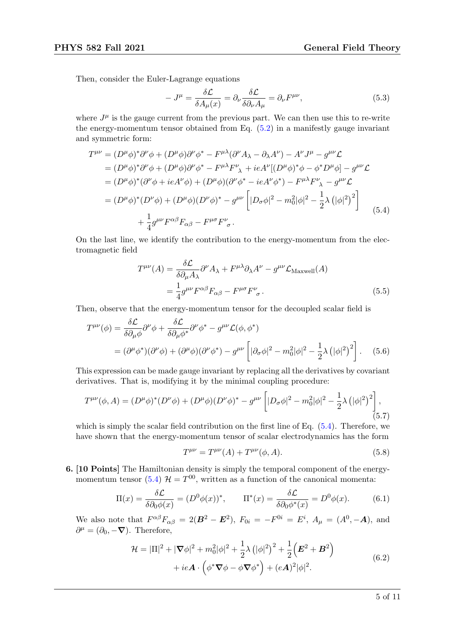Then, consider the Euler-Lagrange equations

<span id="page-4-0"></span>
$$
-J^{\mu} = \frac{\delta \mathcal{L}}{\delta A_{\mu}(x)} = \partial_{\nu} \frac{\delta \mathcal{L}}{\delta \partial_{\nu} A_{\mu}} = \partial_{\nu} F^{\mu \nu}, \tag{5.3}
$$

where  $J^{\mu}$  is the gauge current from the previous part. We can then use this to re-write the energy-momentum tensor obtained from Eq.  $(5.2)$  in a manifestly gauge invariant and symmetric form:

$$
T^{\mu\nu} = (D^{\mu}\phi)^{*}\partial^{\nu}\phi + (D^{\mu}\phi)\partial^{\nu}\phi^{*} - F^{\mu\lambda}(\partial^{\nu}A_{\lambda} - \partial_{\lambda}A^{\nu}) - A^{\nu}J^{\mu} - g^{\mu\nu}\mathcal{L}
$$
  
\n
$$
= (D^{\mu}\phi)^{*}\partial^{\nu}\phi + (D^{\mu}\phi)\partial^{\nu}\phi^{*} - F^{\mu\lambda}F^{\nu}_{\lambda} + ieA^{\nu}[(D^{\mu}\phi)^{*}\phi - \phi^{*}D^{\mu}\phi] - g^{\mu\nu}\mathcal{L}
$$
  
\n
$$
= (D^{\mu}\phi)^{*}(\partial^{\nu}\phi + ieA^{\nu}\phi) + (D^{\mu}\phi)(\partial^{\nu}\phi^{*} - ieA^{\nu}\phi^{*}) - F^{\mu\lambda}F^{\nu}_{\lambda} - g^{\mu\nu}\mathcal{L}
$$
  
\n
$$
= (D^{\mu}\phi)^{*}(D^{\nu}\phi) + (D^{\mu}\phi)(D^{\nu}\phi)^{*} - g^{\mu\nu}\left[|D_{\sigma}\phi|^{2} - m_{0}^{2}|\phi|^{2} - \frac{1}{2}\lambda\left(|\phi|^{2}\right)^{2}\right]
$$
  
\n
$$
+ \frac{1}{4}g^{\mu\nu}F^{\alpha\beta}F_{\alpha\beta} - F^{\mu\sigma}F^{\nu}_{\sigma}.
$$
 (5.4)

On the last line, we identify the contribution to the energy-momentum from the electromagnetic field

$$
T^{\mu\nu}(A) = \frac{\delta \mathcal{L}}{\delta \partial_{\mu} A_{\lambda}} \partial^{\nu} A_{\lambda} + F^{\mu\lambda} \partial_{\lambda} A^{\nu} - g^{\mu\nu} \mathcal{L}_{\text{Maxwell}}(A)
$$
  
= 
$$
\frac{1}{4} g^{\mu\nu} F^{\alpha\beta} F_{\alpha\beta} - F^{\mu\sigma} F^{\nu}_{\ \sigma}.
$$
 (5.5)

Then, observe that the energy-momentum tensor for the decoupled scalar field is

$$
T^{\mu\nu}(\phi) = \frac{\delta \mathcal{L}}{\delta \partial_{\mu} \phi} \partial^{\nu} \phi + \frac{\delta \mathcal{L}}{\delta \partial_{\mu} \phi^*} \partial^{\nu} \phi^* - g^{\mu\nu} \mathcal{L}(\phi, \phi^*)
$$
  
=  $(\partial^{\mu} \phi^*)(\partial^{\nu} \phi) + (\partial^{\mu} \phi)(\partial^{\nu} \phi^*) - g^{\mu\nu} \left[ |\partial_{\sigma} \phi|^2 - m_0^2 |\phi|^2 - \frac{1}{2} \lambda \left( |\phi|^2 \right)^2 \right].$  (5.6)

This expression can be made gauge invariant by replacing all the derivatives by covariant derivatives. That is, modifying it by the minimal coupling procedure:

$$
T^{\mu\nu}(\phi, A) = (D^{\mu}\phi)^{*}(D^{\nu}\phi) + (D^{\mu}\phi)(D^{\nu}\phi)^{*} - g^{\mu\nu}\left[|D_{\sigma}\phi|^{2} - m_{0}^{2}|\phi|^{2} - \frac{1}{2}\lambda\left(|\phi|^{2}\right)^{2}\right],
$$
\n(5.7)

which is simply the scalar field contribution on the first line of Eq. [\(5.4\)](#page-4-0). Therefore, we have shown that the energy-momentum tensor of scalar electrodynamics has the form

$$
T^{\mu\nu} = T^{\mu\nu}(A) + T^{\mu\nu}(\phi, A). \tag{5.8}
$$

6. [10 Points] The Hamiltonian density is simply the temporal component of the energy-momentum tensor [\(5.4\)](#page-4-0)  $\mathcal{H} = T^{00}$ , written as a function of the canonical momenta:

$$
\Pi(x) = \frac{\delta \mathcal{L}}{\delta \partial_0 \phi(x)} = (D^0 \phi(x))^*, \qquad \Pi^*(x) = \frac{\delta \mathcal{L}}{\delta \partial_0 \phi^*(x)} = D^0 \phi(x). \tag{6.1}
$$

<span id="page-4-1"></span>We also note that  $F^{\alpha\beta}F_{\alpha\beta} = 2(B^2 - E^2)$ ,  $F_{0i} = -F^{0i} = E^i$ ,  $A_\mu = (A^0, -A)$ , and  $\partial^{\mu} = (\partial_0, -\nabla).$  Therefore,

$$
\mathcal{H} = |\Pi|^2 + |\nabla \phi|^2 + m_0^2 |\phi|^2 + \frac{1}{2} \lambda \left( |\phi|^2 \right)^2 + \frac{1}{2} \left( \mathbf{E}^2 + \mathbf{B}^2 \right) + ie \mathbf{A} \cdot \left( \phi^* \nabla \phi - \phi \nabla \phi^* \right) + (e\mathbf{A})^2 |\phi|^2.
$$
\n(6.2)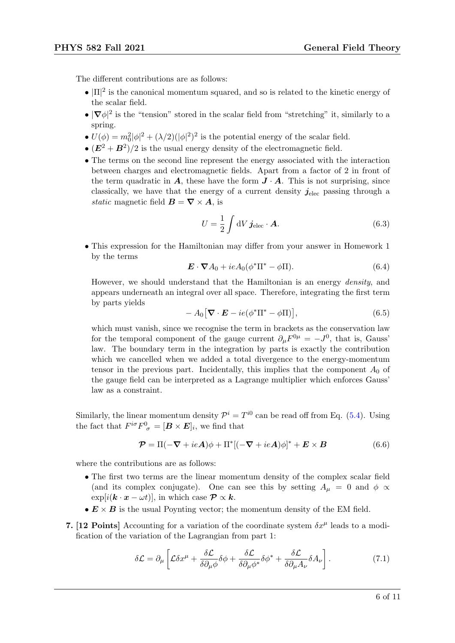The different contributions are as follows:

- $\bullet$   $|\Pi|^2$  is the canonical momentum squared, and so is related to the kinetic energy of the scalar field.
- $|\nabla \phi|^2$  is the "tension" stored in the scalar field from "stretching" it, similarly to a spring.
- $U(\phi) = m_0^2 |\phi|^2 + (\lambda/2)(|\phi|^2)^2$  is the potential energy of the scalar field.
- $(E^2 + B^2)/2$  is the usual energy density of the electromagnetic field.
- The terms on the second line represent the energy associated with the interaction between charges and electromagnetic fields. Apart from a factor of 2 in front of the term quadratic in  $\vec{A}$ , these have the form  $\vec{J} \cdot \vec{A}$ . This is not surprising, since classically, we have that the energy of a current density  $j_{elec}$  passing through a static magnetic field  $\mathbf{B} = \nabla \times \mathbf{A}$ , is

$$
U = \frac{1}{2} \int \mathrm{d}V \,\mathbf{j}_{\text{elec}} \cdot \mathbf{A}.\tag{6.3}
$$

• This expression for the Hamiltonian may differ from your answer in Homework 1 by the terms

$$
\mathbf{E} \cdot \nabla A_0 + ieA_0(\phi^* \Pi^* - \phi \Pi). \tag{6.4}
$$

However, we should understand that the Hamiltonian is an energy density, and appears underneath an integral over all space. Therefore, integrating the first term by parts yields

<span id="page-5-0"></span>
$$
- A_0 [\mathbf{\nabla} \cdot \mathbf{E} - ie(\phi^* \Pi^* - \phi \Pi)], \qquad (6.5)
$$

which must vanish, since we recognise the term in brackets as the conservation law for the temporal component of the gauge current  $\partial_{\mu}F^{0\mu} = -J^{0}$ , that is, Gauss' law. The boundary term in the integration by parts is exactly the contribution which we cancelled when we added a total divergence to the energy-momentum tensor in the previous part. Incidentally, this implies that the component  $A_0$  of the gauge field can be interpreted as a Lagrange multiplier which enforces Gauss' law as a constraint.

Similarly, the linear momentum density  $\mathcal{P}^i = T^{i0}$  can be read off from Eq. [\(5.4\)](#page-4-0). Using the fact that  $F^{i\sigma}F^0_{\sigma} = [\mathbf{B} \times \mathbf{E}]_i$ , we find that

$$
\mathcal{P} = \Pi(-\nabla + ieA)\phi + \Pi^*[(-\nabla + ieA)\phi]^* + \mathbf{E} \times \mathbf{B}
$$
 (6.6)

where the contributions are as follows:

- The first two terms are the linear momentum density of the complex scalar field (and its complex conjugate). One can see this by setting  $A_\mu = 0$  and  $\phi \propto \frac{1}{2}$  $\exp[i(\mathbf{k} \cdot \mathbf{x} - \omega t)]$ , in which case  $\mathcal{P} \propto \mathbf{k}$ .
- $E \times B$  is the usual Poynting vector; the momentum density of the EM field.
- 7. [12 Points] Accounting for a variation of the coordinate system  $\delta x^{\mu}$  leads to a modification of the variation of the Lagrangian from part 1:

$$
\delta \mathcal{L} = \partial_{\mu} \left[ \mathcal{L} \delta x^{\mu} + \frac{\delta \mathcal{L}}{\delta \partial_{\mu} \phi} \delta \phi + \frac{\delta \mathcal{L}}{\delta \partial_{\mu} \phi^*} \delta \phi^* + \frac{\delta \mathcal{L}}{\delta \partial_{\mu} A_{\nu}} \delta A_{\nu} \right]. \tag{7.1}
$$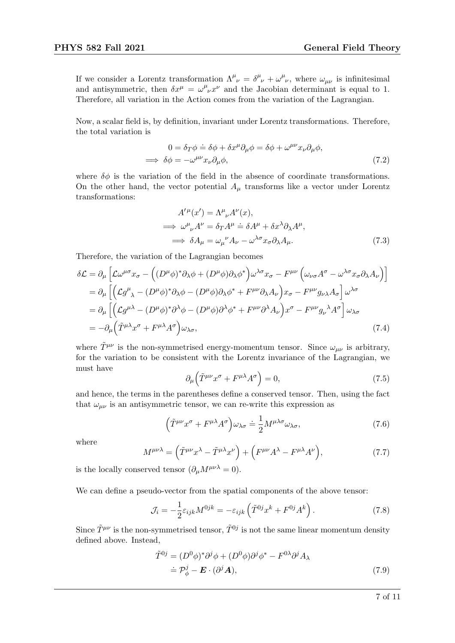If we consider a Lorentz transformation  $\Lambda^{\mu}{}_{\nu} = \delta^{\mu}{}_{\nu} + \omega^{\mu}{}_{\nu}$ , where  $\omega_{\mu\nu}$  is infinitesimal and antisymmetric, then  $\delta x^{\mu} = \omega^{\mu}{}_{\nu} x^{\nu}$  and the Jacobian determinant is equal to 1. Therefore, all variation in the Action comes from the variation of the Lagrangian.

Now, a scalar field is, by definition, invariant under Lorentz transformations. Therefore, the total variation is

$$
0 = \delta_T \phi \doteq \delta \phi + \delta x^{\mu} \partial_{\mu} \phi = \delta \phi + \omega^{\mu \nu} x_{\nu} \partial_{\mu} \phi,
$$
  

$$
\implies \delta \phi = -\omega^{\mu \nu} x_{\nu} \partial_{\mu} \phi,
$$
 (7.2)

where  $\delta\phi$  is the variation of the field in the absence of coordinate transformations. On the other hand, the vector potential  $A_\mu$  transforms like a vector under Lorentz transformations:

$$
A^{\prime \mu}(x^{\prime}) = \Lambda^{\mu}{}_{\nu}A^{\nu}(x),
$$
  
\n
$$
\implies \omega^{\mu}{}_{\nu}A^{\nu} = \delta_{T}A^{\mu} \doteq \delta A^{\mu} + \delta x^{\lambda}\partial_{\lambda}A^{\mu},
$$
  
\n
$$
\implies \delta A_{\mu} = \omega_{\mu}{}^{\nu}A_{\nu} - \omega^{\lambda \sigma}x_{\sigma}\partial_{\lambda}A_{\mu}. \tag{7.3}
$$

Therefore, the variation of the Lagrangian becomes

$$
\delta \mathcal{L} = \partial_{\mu} \left[ \mathcal{L} \omega^{\mu \sigma} x_{\sigma} - \left( (D^{\mu} \phi)^{*} \partial_{\lambda} \phi + (D^{\mu} \phi) \partial_{\lambda} \phi^{*} \right) \omega^{\lambda \sigma} x_{\sigma} - F^{\mu \nu} \left( \omega_{\nu \sigma} A^{\sigma} - \omega^{\lambda \sigma} x_{\sigma} \partial_{\lambda} A_{\nu} \right) \right]
$$
  
\n
$$
= \partial_{\mu} \left[ \left( \mathcal{L} g^{\mu}{}_{\lambda} - (D^{\mu} \phi)^{*} \partial_{\lambda} \phi - (D^{\mu} \phi) \partial_{\lambda} \phi^{*} + F^{\mu \nu} \partial_{\lambda} A_{\nu} \right) x_{\sigma} - F^{\mu \nu} g_{\nu \lambda} A_{\sigma} \right] \omega^{\lambda \sigma}
$$
  
\n
$$
= \partial_{\mu} \left[ \left( \mathcal{L} g^{\mu \lambda} - (D^{\mu} \phi)^{*} \partial^{\lambda} \phi - (D^{\mu} \phi) \partial^{\lambda} \phi^{*} + F^{\mu \nu} \partial^{\lambda} A_{\nu} \right) x^{\sigma} - F^{\mu \nu} g_{\nu}{}^{\lambda} A^{\sigma} \right] \omega_{\lambda \sigma}
$$
  
\n
$$
= -\partial_{\mu} \left( \tilde{T}^{\mu \lambda} x^{\sigma} + F^{\mu \lambda} A^{\sigma} \right) \omega_{\lambda \sigma}, \tag{7.4}
$$

where  $\tilde{T}^{\mu\nu}$  is the non-symmetrised energy-momentum tensor. Since  $\omega_{\mu\nu}$  is arbitrary, for the variation to be consistent with the Lorentz invariance of the Lagrangian, we must have

<span id="page-6-1"></span>
$$
\partial_{\mu} \left( \tilde{T}^{\mu\nu} x^{\sigma} + F^{\mu\lambda} A^{\sigma} \right) = 0, \tag{7.5}
$$

and hence, the terms in the parentheses define a conserved tensor. Then, using the fact that  $\omega_{\mu\nu}$  is an antisymmetric tensor, we can re-write this expression as

$$
\left(\tilde{T}^{\mu\nu}x^{\sigma} + F^{\mu\lambda}A^{\sigma}\right)\omega_{\lambda\sigma} \doteq \frac{1}{2}M^{\mu\lambda\sigma}\omega_{\lambda\sigma},\tag{7.6}
$$

where

$$
M^{\mu\nu\lambda} = (\tilde{T}^{\mu\nu}x^{\lambda} - \tilde{T}^{\mu\lambda}x^{\nu}) + (F^{\mu\nu}A^{\lambda} - F^{\mu\lambda}A^{\nu}), \qquad (7.7)
$$

is the locally conserved tensor  $(\partial_{\mu}M^{\mu\nu\lambda}=0)$ .

We can define a pseudo-vector from the spatial components of the above tensor:

<span id="page-6-0"></span>
$$
\mathcal{J}_i = -\frac{1}{2} \varepsilon_{ijk} M^{0jk} = -\varepsilon_{ijk} \left( \tilde{T}^{0j} x^k + F^{0j} A^k \right). \tag{7.8}
$$

Since  $\tilde{T}^{\mu\nu}$  is the non-symmetrised tensor,  $\tilde{T}^{0j}$  is not the same linear momentum density defined above. Instead,

$$
\tilde{T}^{0j} = (D^0 \phi)^* \partial^j \phi + (D^0 \phi) \partial^j \phi^* - F^{0\lambda} \partial^j A_\lambda \n\dot{=} \mathcal{P}^j_\phi - \mathbf{E} \cdot (\partial^j \mathbf{A}),
$$
\n(7.9)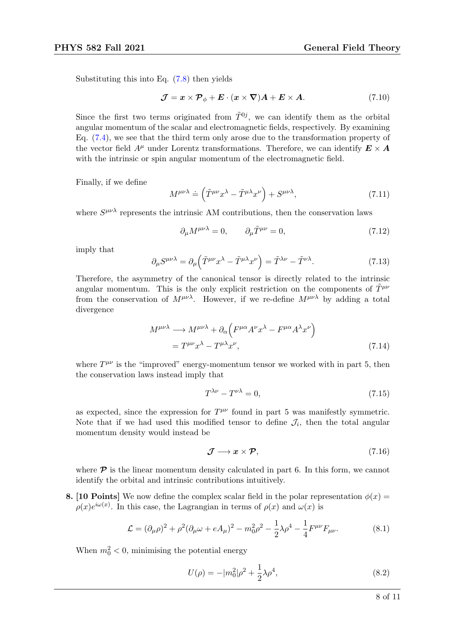Substituting this into Eq. [\(7.8\)](#page-6-0) then yields

$$
\mathcal{J} = \mathbf{x} \times \mathcal{P}_{\phi} + \mathbf{E} \cdot (\mathbf{x} \times \nabla) \mathbf{A} + \mathbf{E} \times \mathbf{A}.
$$
 (7.10)

Since the first two terms originated from  $\tilde{T}^{0j}$ , we can identify them as the orbital angular momentum of the scalar and electromagnetic fields, respectively. By examining Eq. [\(7.4\)](#page-6-1), we see that the third term only arose due to the transformation property of the vector field  $A^{\mu}$  under Lorentz transformations. Therefore, we can identify  $E \times A$ with the intrinsic or spin angular momentum of the electromagnetic field.

Finally, if we define

$$
M^{\mu\nu\lambda} \doteq \left(\tilde{T}^{\mu\nu}x^{\lambda} - \tilde{T}^{\mu\lambda}x^{\nu}\right) + S^{\mu\nu\lambda},\tag{7.11}
$$

where  $S^{\mu\nu\lambda}$  represents the intrinsic AM contributions, then the conservation laws

$$
\partial_{\mu}M^{\mu\nu\lambda} = 0, \qquad \partial_{\mu}\tilde{T}^{\mu\nu} = 0, \tag{7.12}
$$

imply that

$$
\partial_{\mu}S^{\mu\nu\lambda} = \partial_{\mu}\left(\tilde{T}^{\mu\nu}x^{\lambda} - \tilde{T}^{\mu\lambda}x^{\nu}\right) = \tilde{T}^{\lambda\nu} - \tilde{T}^{\nu\lambda}.\tag{7.13}
$$

Therefore, the asymmetry of the canonical tensor is directly related to the intrinsic angular momentum. This is the only explicit restriction on the components of  $\tilde{T}^{\mu\nu}$ from the conservation of  $M^{\mu\nu\lambda}$ . However, if we re-define  $M^{\mu\nu\lambda}$  by adding a total divergence

$$
M^{\mu\nu\lambda} \longrightarrow M^{\mu\nu\lambda} + \partial_{\alpha} \left( F^{\mu\alpha} A^{\nu} x^{\lambda} - F^{\mu\alpha} A^{\lambda} x^{\nu} \right)
$$
  
=  $T^{\mu\nu} x^{\lambda} - T^{\mu\lambda} x^{\nu}$ , (7.14)

where  $T^{\mu\nu}$  is the "improved" energy-momentum tensor we worked with in part 5, then the conservation laws instead imply that

$$
T^{\lambda \nu} - T^{\nu \lambda} = 0,\t\t(7.15)
$$

as expected, since the expression for  $T^{\mu\nu}$  found in part 5 was manifestly symmetric. Note that if we had used this modified tensor to define  $\mathcal{J}_i$ , then the total angular momentum density would instead be

$$
\mathcal{J} \longrightarrow x \times \mathcal{P},\tag{7.16}
$$

where  $\mathcal P$  is the linear momentum density calculated in part 6. In this form, we cannot identify the orbital and intrinsic contributions intuitively.

8. [10 Points] We now define the complex scalar field in the polar representation  $\phi(x)$  =  $\rho(x)e^{i\omega(x)}$ . In this case, the Lagrangian in terms of  $\rho(x)$  and  $\omega(x)$  is

$$
\mathcal{L} = (\partial_{\mu}\rho)^{2} + \rho^{2}(\partial_{\mu}\omega + eA_{\mu})^{2} - m_{0}^{2}\rho^{2} - \frac{1}{2}\lambda\rho^{4} - \frac{1}{4}F^{\mu\nu}F_{\mu\nu}.
$$
 (8.1)

When  $m_0^2 < 0$ , minimising the potential energy

$$
U(\rho) = -|m_0^2|\rho^2 + \frac{1}{2}\lambda \rho^4,\tag{8.2}
$$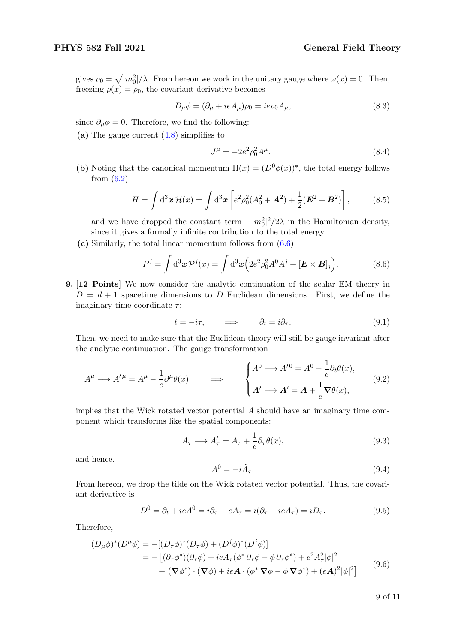gives  $\rho_0 = \sqrt{|m_0^2|/\lambda}$ . From hereon we work in the unitary gauge where  $\omega(x) = 0$ . Then, freezing  $\rho(x) = \rho_0$ , the covariant derivative becomes

$$
D_{\mu}\phi = (\partial_{\mu} + ieA_{\mu})\rho_0 = ie\rho_0 A_{\mu}, \qquad (8.3)
$$

since  $\partial_{\mu}\phi = 0$ . Therefore, we find the following:

(a) The gauge current [\(4.8\)](#page-3-1) simplifies to

$$
J^{\mu} = -2e^2 \rho_0^2 A^{\mu}.
$$
\n(8.4)

(b) Noting that the canonical momentum  $\Pi(x) = (D^0 \phi(x))^*$ , the total energy follows from [\(6.2\)](#page-4-1)

$$
H = \int d^3x \, \mathcal{H}(x) = \int d^3x \left[ e^2 \rho_0^2 (A_0^2 + A^2) + \frac{1}{2} (E^2 + B^2) \right],\tag{8.5}
$$

and we have dropped the constant term  $-|m_0^2|^2/2\lambda$  in the Hamiltonian density, since it gives a formally infinite contribution to the total energy.

(c) Similarly, the total linear momentum follows from [\(6.6\)](#page-5-0)

$$
P^j = \int d^3x \mathcal{P}^j(x) = \int d^3x \left( 2e^2 \rho_0^2 A^0 A^j + [\mathbf{E} \times \mathbf{B}]_j \right).
$$
 (8.6)

9. [12 Points] We now consider the analytic continuation of the scalar EM theory in  $D = d + 1$  spacetime dimensions to D Euclidean dimensions. First, we define the imaginary time coordinate  $\tau$ :

$$
t = -i\tau, \qquad \Longrightarrow \qquad \partial_t = i\partial_\tau. \tag{9.1}
$$

Then, we need to make sure that the Euclidean theory will still be gauge invariant after the analytic continuation. The gauge transformation

$$
A^{\mu} \longrightarrow A^{\prime \mu} = A^{\mu} - \frac{1}{e} \partial^{\mu} \theta(x) \qquad \Longrightarrow \qquad \begin{cases} A^{0} \longrightarrow A^{\prime \, 0} = A^{0} - \frac{1}{e} \partial_{t} \theta(x), \\ A^{\prime} \longrightarrow A^{\prime} = A + \frac{1}{e} \nabla \theta(x), \end{cases} \tag{9.2}
$$

implies that the Wick rotated vector potential  $\tilde{A}$  should have an imaginary time component which transforms like the spatial components:

$$
\tilde{A}_{\tau} \longrightarrow \tilde{A}'_{\tau} = \tilde{A}_{\tau} + \frac{1}{e} \partial_{\tau} \theta(x), \qquad (9.3)
$$

and hence,

$$
A^0 = -i\tilde{A}_\tau. \tag{9.4}
$$

From hereon, we drop the tilde on the Wick rotated vector potential. Thus, the covariant derivative is

$$
D^{0} = \partial_{t} + ieA^{0} = i\partial_{\tau} + eA_{\tau} = i(\partial_{\tau} - ieA_{\tau}) \doteq iD_{\tau}.
$$
\n(9.5)

Therefore,

$$
(D_{\mu}\phi)^{*}(D^{\mu}\phi) = -[(D_{\tau}\phi)^{*}(D_{\tau}\phi) + (D^{j}\phi)^{*}(D^{j}\phi)]
$$
  
= -[(\partial\_{\tau}\phi^{\*})(\partial\_{\tau}\phi) + ieA\_{\tau}(\phi^{\*}\partial\_{\tau}\phi - \phi\partial\_{\tau}\phi^{\*}) + e^{2}A\_{\tau}^{2}|\phi|^{2}  
+ (\nabla\phi^{\*}) \cdot (\nabla\phi) + ieA \cdot (\phi^{\*}\nabla\phi - \phi \nabla\phi^{\*}) + (eA)^{2}|\phi|^{2}] (9.6)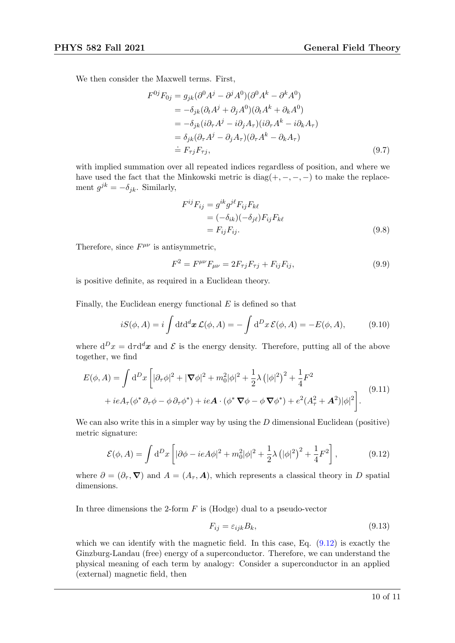We then consider the Maxwell terms. First,

$$
F^{0j}F_{0j} = g_{jk}(\partial^0 A^j - \partial^j A^0)(\partial^0 A^k - \partial^k A^0)
$$
  
=  $-\delta_{jk}(\partial_t A^j + \partial_j A^0)(\partial_t A^k + \partial_k A^0)$   
=  $-\delta_{jk}(i\partial_\tau A^j - i\partial_j A_\tau)(i\partial_\tau A^k - i\partial_k A_\tau)$   
=  $\delta_{jk}(\partial_\tau A^j - \partial_j A_\tau)(\partial_\tau A^k - \partial_k A_\tau)$   
=  $F_{\tau j}F_{\tau j}$ , (9.7)

with implied summation over all repeated indices regardless of position, and where we have used the fact that the Minkowski metric is  $diag(+, -, -, -)$  to make the replacement  $g^{jk} = -\delta_{jk}$ . Similarly,

$$
F^{ij}F_{ij} = g^{ik}g^{j\ell}F_{ij}F_{k\ell}
$$
  
=  $(-\delta_{ik})(-\delta_{j\ell})F_{ij}F_{k\ell}$   
=  $F_{ij}F_{ij}$ . (9.8)

Therefore, since  $F^{\mu\nu}$  is antisymmetric,

$$
F^2 = F^{\mu\nu} F_{\mu\nu} = 2F_{\tau j} F_{\tau j} + F_{ij} F_{ij}, \tag{9.9}
$$

is positive definite, as required in a Euclidean theory.

Finally, the Euclidean energy functional  $E$  is defined so that

$$
iS(\phi, A) = i \int dt d^d x \mathcal{L}(\phi, A) = - \int d^D x \mathcal{E}(\phi, A) = -E(\phi, A), \quad (9.10)
$$

where  $d^D x = d\tau d^d x$  and  $\mathcal E$  is the energy density. Therefore, putting all of the above together, we find

$$
E(\phi, A) = \int d^D x \left[ |\partial_\tau \phi|^2 + |\nabla \phi|^2 + m_0^2 |\phi|^2 + \frac{1}{2} \lambda \left( |\phi|^2 \right)^2 + \frac{1}{4} F^2 \right. \\
\left. + ieA_\tau (\phi^* \partial_\tau \phi - \phi \partial_\tau \phi^*) + ieA \cdot (\phi^* \nabla \phi - \phi \nabla \phi^*) + e^2 (A_\tau^2 + A^2) |\phi|^2 \right].
$$
\n(9.11)

We can also write this in a simpler way by using the  $D$  dimensional Euclidean (positive) metric signature:

$$
\mathcal{E}(\phi, A) = \int d^D x \left[ |\partial \phi - ieA\phi|^2 + m_0^2 |\phi|^2 + \frac{1}{2}\lambda \left( |\phi|^2 \right)^2 + \frac{1}{4}F^2 \right],\tag{9.12}
$$

<span id="page-9-0"></span>where  $\partial = (\partial_\tau, \nabla)$  and  $A = (A_\tau, A)$ , which represents a classical theory in D spatial dimensions.

In three dimensions the 2-form  $F$  is (Hodge) dual to a pseudo-vector

$$
F_{ij} = \varepsilon_{ijk} B_k,\tag{9.13}
$$

which we can identify with the magnetic field. In this case, Eq.  $(9.12)$  is exactly the Ginzburg-Landau (free) energy of a superconductor. Therefore, we can understand the physical meaning of each term by analogy: Consider a superconductor in an applied (external) magnetic field, then